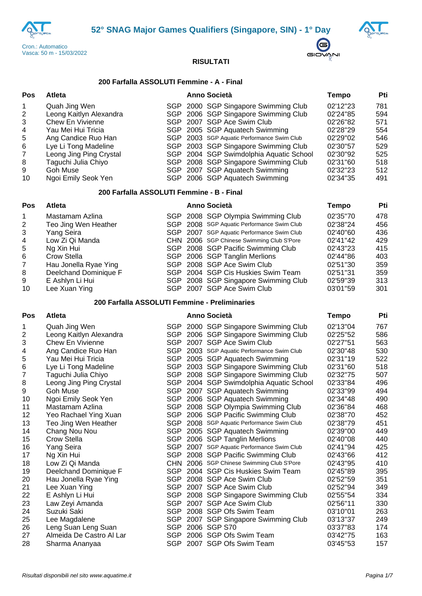





# **200 Farfalla ASSOLUTI Femmine - A - Final**

| Pos                                                          | <b>Atleta</b>                                                                                                                                                                                                                 |  | Anno Società                                                                                                                                                                                                                                                                                                                                                                                 | <b>Tempo</b>                                                                                                         | Pti                                                                |
|--------------------------------------------------------------|-------------------------------------------------------------------------------------------------------------------------------------------------------------------------------------------------------------------------------|--|----------------------------------------------------------------------------------------------------------------------------------------------------------------------------------------------------------------------------------------------------------------------------------------------------------------------------------------------------------------------------------------------|----------------------------------------------------------------------------------------------------------------------|--------------------------------------------------------------------|
| 1<br>2<br>3<br>4<br>5<br>6<br>$\overline{7}$<br>8<br>9<br>10 | Quah Jing Wen<br>Leong Kaitlyn Alexandra<br><b>Chew En Vivienne</b><br>Yau Mei Hui Tricia<br>Ang Candice Ruo Han<br>Lye Li Tong Madeline<br>Leong Jing Ping Crystal<br>Taguchi Julia Chiyo<br>Goh Muse<br>Ngoi Emily Seok Yen |  | SGP 2000 SGP Singapore Swimming Club<br>SGP 2006 SGP Singapore Swimming Club<br>SGP 2007 SGP Ace Swim Club<br>SGP 2005 SGP Aquatech Swimming<br>SGP 2003 SGP Aquatic Performance Swim Club<br>SGP 2003 SGP Singapore Swimming Club<br>SGP 2004 SGP Swimdolphia Aquatic School<br>SGP 2008 SGP Singapore Swimming Club<br>SGP 2007 SGP Aquatech Swimming<br>SGP 2006 SGP Aquatech Swimming    | 02'12"23<br>02'24"85<br>02'26"82<br>02'28"29<br>02'29"02<br>02'30"57<br>02'30"92<br>02'31"60<br>02'32"23<br>02'34"35 | 781<br>594<br>571<br>554<br>546<br>529<br>525<br>518<br>512<br>491 |
|                                                              | 200 Farfalla ASSOLUTI Femmine - B - Final                                                                                                                                                                                     |  |                                                                                                                                                                                                                                                                                                                                                                                              |                                                                                                                      |                                                                    |
| <b>Pos</b>                                                   | Atleta                                                                                                                                                                                                                        |  | <b>Anno Società</b>                                                                                                                                                                                                                                                                                                                                                                          | <b>Tempo</b>                                                                                                         | Pti                                                                |
| 1<br>2<br>3<br>4<br>5<br>6<br>$\overline{7}$<br>8<br>9<br>10 | Mastamam Azlina<br>Teo Jing Wen Heather<br>Yang Seira<br>Low Zi Qi Manda<br>Ng Xin Hui<br>Crow Stella<br>Hau Jonella Ryae Ying<br>Deelchand Dominique F<br>E Ashlyn Li Hui<br>Lee Xuan Ying                                   |  | SGP 2008 SGP Olympia Swimming Club<br>SGP 2008 SGP Aquatic Performance Swim Club<br>SGP 2007 SGP Aquatic Performance Swim Club<br>CHN 2006 SGP Chinese Swimming Club S'Pore<br>SGP 2008 SGP Pacific Swimming Club<br>SGP 2006 SGP Tanglin Merlions<br>SGP 2008 SGP Ace Swim Club<br>SGP 2004 SGP Cis Huskies Swim Team<br>SGP 2008 SGP Singapore Swimming Club<br>SGP 2007 SGP Ace Swim Club | 02'35"70<br>02'38"24<br>02'40"60<br>02'41"42<br>02'43"23<br>02'44"86<br>02'51"30<br>02'51"31<br>02'59"39<br>03'01"59 | 478<br>456<br>436<br>429<br>415<br>403<br>359<br>359<br>313<br>301 |
|                                                              | 200 Farfalla ASSOLUTI Femmine - Preliminaries                                                                                                                                                                                 |  |                                                                                                                                                                                                                                                                                                                                                                                              |                                                                                                                      |                                                                    |
| <b>Pos</b>                                                   | <b>Atleta</b>                                                                                                                                                                                                                 |  | <b>Anno Società</b>                                                                                                                                                                                                                                                                                                                                                                          | <b>Tempo</b>                                                                                                         | Pti                                                                |
| 1<br>2<br>3<br>4<br>5<br>6<br>$\overline{7}$<br>8            | Quah Jing Wen<br>Leong Kaitlyn Alexandra<br><b>Chew En Vivienne</b><br>Ang Candice Ruo Han<br>Yau Mei Hui Tricia<br>Lye Li Tong Madeline<br>Taguchi Julia Chiyo<br>Leong Jing Ping Crystal                                    |  | SGP 2000 SGP Singapore Swimming Club<br>SGP 2006 SGP Singapore Swimming Club<br>SGP 2007 SGP Ace Swim Club<br>SGP 2003 SGP Aquatic Performance Swim Club<br>SGP 2005 SGP Aquatech Swimming<br>SGP 2003 SGP Singapore Swimming Club<br>SGP 2008 SGP Singapore Swimming Club<br>SGP 2004 SGP Swimdolphia Aquatic School                                                                        | 02'13"04<br>02'25"52<br>02'27"51<br>02'30"48<br>02'31"19<br>02'31"60<br>02'32"75<br>02'33"84                         | 767<br>586<br>563<br>530<br>522<br>518<br>507<br>496               |
| 9<br>10<br>11<br>12                                          | Goh Muse<br>Ngoi Emily Seok Yen<br>Mastamam Azlina<br>Yeo Rachael Ying Xuan                                                                                                                                                   |  | SGP 2007 SGP Aquatech Swimming<br>SGP 2006 SGP Aquatech Swimming<br>SGP 2008 SGP Olympia Swimming Club<br>SGP 2006 SGP Pacific Swimming Club                                                                                                                                                                                                                                                 | 02'33"99<br>02'34"48<br>02'36"84<br>02'38"70                                                                         | 494<br>490<br>468<br>452                                           |
| 13<br>14<br>15<br>16                                         | Teo Jing Wen Heather<br>Chang Nou Nou<br>Crow Stella<br>Yang Seira                                                                                                                                                            |  | SGP 2008 SGP Aquatic Performance Swim Club<br>SGP 2005 SGP Aquatech Swimming<br>SGP 2006 SGP Tanglin Merlions<br>SGP 2007 SGP Aquatic Performance Swim Club                                                                                                                                                                                                                                  | 02'38"79<br>02'39"00<br>02'40"08<br>02'41"94                                                                         | 451<br>449<br>440<br>425                                           |
| 17<br>18<br>19<br>20                                         | Ng Xin Hui<br>Low Zi Qi Manda<br>Deelchand Dominique F<br>Hau Jonella Ryae Ying                                                                                                                                               |  | SGP 2008 SGP Pacific Swimming Club<br>CHN 2006 SGP Chinese Swimming Club S'Pore<br>SGP 2004 SGP Cis Huskies Swim Team<br>SGP 2008 SGP Ace Swim Club                                                                                                                                                                                                                                          | 02'43"66<br>02'43"95<br>02'45"89<br>02'52"59                                                                         | 412<br>410<br>395<br>351                                           |
| 21<br>22<br>23<br>24                                         | Lee Xuan Ying<br>E Ashlyn Li Hui<br>Law Zeyi Amanda<br>Suzuki Saki                                                                                                                                                            |  | SGP 2007 SGP Ace Swim Club<br>SGP 2008 SGP Singapore Swimming Club<br>SGP 2007 SGP Ace Swim Club<br>SGP 2008 SGP Ofs Swim Team                                                                                                                                                                                                                                                               | 02'52"94<br>02'55"54<br>02'56"11<br>03'10"01                                                                         | 349<br>334<br>330<br>263                                           |
| 25<br>26<br>27                                               | Lee Magdalene<br>Leng Suan Leng Suan<br>Almeida De Castro Al Lar                                                                                                                                                              |  | SGP 2007 SGP Singapore Swimming Club<br>SGP 2006 SGP S70<br>SGP 2006 SGP Ofs Swim Team                                                                                                                                                                                                                                                                                                       | 03'13"37<br>03'37"83<br>03'42"75                                                                                     | 249<br>174<br>163                                                  |
| 28                                                           | Sharma Ananyaa                                                                                                                                                                                                                |  | SGP 2007 SGP Ofs Swim Team                                                                                                                                                                                                                                                                                                                                                                   | 03'45"53                                                                                                             | 157                                                                |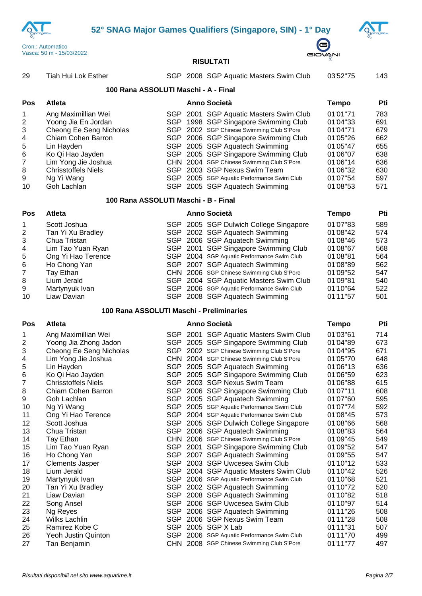**52° SNAG Major Games Qualifiers (Singapore, SIN) - 1° Day**





# **RISULTATI**

| 29                        | Tiah Hui Lok Esther                      |  | SGP 2008 SGP Aquatic Masters Swim Club     | 03'52"75     | 143 |
|---------------------------|------------------------------------------|--|--------------------------------------------|--------------|-----|
|                           | 100 Rana ASSOLUTI Maschi - A - Final     |  |                                            |              |     |
| Pos                       | Atleta                                   |  | Anno Società                               | <b>Tempo</b> | Pti |
| 1                         | Ang Maximillian Wei                      |  | SGP 2001 SGP Aquatic Masters Swim Club     | 01'01"71     | 783 |
| $\boldsymbol{2}$          | Yoong Jia En Jordan                      |  | SGP 1998 SGP Singapore Swimming Club       | 01'04"33     | 691 |
| $\ensuremath{\mathsf{3}}$ | Cheong Ee Seng Nicholas                  |  | SGP 2002 SGP Chinese Swimming Club S'Pore  | 01'04"71     | 679 |
| $\overline{\mathcal{A}}$  | Chiam Cohen Barron                       |  | SGP 2006 SGP Singapore Swimming Club       | 01'05"26     | 662 |
| 5                         | Lin Hayden                               |  | SGP 2005 SGP Aquatech Swimming             | 01'05"47     | 655 |
| $\,$ 6 $\,$               | Ko Qi Hao Jayden                         |  | SGP 2005 SGP Singapore Swimming Club       | 01'06"07     | 638 |
| $\boldsymbol{7}$          | Lim Yong Jie Joshua                      |  | CHN 2004 SGP Chinese Swimming Club S'Pore  | 01'06"14     | 636 |
| 8                         | <b>Chrisstoffels Niels</b>               |  | SGP 2003 SGP Nexus Swim Team               | 01'06"32     | 630 |
| 9                         | Ng Yi Wang                               |  | SGP 2005 SGP Aquatic Performance Swim Club | 01'07"54     | 597 |
| 10                        | Goh Lachlan                              |  | SGP 2005 SGP Aquatech Swimming             | 01'08"53     | 571 |
|                           | 100 Rana ASSOLUTI Maschi - B - Final     |  |                                            |              |     |
| Pos                       | Atleta                                   |  | <b>Anno Società</b>                        | <b>Tempo</b> | Pti |
| 1                         | Scott Joshua                             |  | SGP 2005 SGP Dulwich College Singapore     | 01'07"83     | 589 |
| $\boldsymbol{2}$          | Tan Yi Xu Bradley                        |  | SGP 2002 SGP Aquatech Swimming             | 01'08"42     | 574 |
| $\ensuremath{\mathsf{3}}$ | Chua Tristan                             |  | SGP 2006 SGP Aquatech Swimming             | 01'08"46     | 573 |
| $\overline{\mathcal{A}}$  | Lim Tao Yuan Ryan                        |  | SGP 2001 SGP Singapore Swimming Club       | 01'08"67     | 568 |
| 5                         | Ong Yi Hao Terence                       |  | SGP 2004 SGP Aquatic Performance Swim Club | 01'08"81     | 564 |
| $\,6$                     | Ho Chong Yan                             |  | SGP 2007 SGP Aquatech Swimming             | 01'08"89     | 562 |
| $\boldsymbol{7}$          | Tay Ethan                                |  | CHN 2006 SGP Chinese Swimming Club S'Pore  | 01'09"52     | 547 |
| 8                         | Lium Jerald                              |  | SGP 2004 SGP Aquatic Masters Swim Club     | 01'09"81     | 540 |
| 9                         | Martynyuk Ivan                           |  | SGP 2006 SGP Aquatic Performance Swim Club | 01'10"64     | 522 |
| 10                        | Liaw Davian                              |  | SGP 2008 SGP Aquatech Swimming             | 01'11"57     | 501 |
|                           | 100 Rana ASSOLUTI Maschi - Preliminaries |  |                                            |              |     |
| Pos                       | Atleta                                   |  | <b>Anno Società</b>                        | <b>Tempo</b> | Pti |
| 1                         | Ang Maximillian Wei                      |  | SGP 2001 SGP Aquatic Masters Swim Club     | 01'03"61     | 714 |
| $\boldsymbol{2}$          | Yoong Jia Zhong Jadon                    |  | SGP 2005 SGP Singapore Swimming Club       | 01'04"89     | 673 |
| $\ensuremath{\mathsf{3}}$ | Cheong Ee Seng Nicholas                  |  | SGP 2002 SGP Chinese Swimming Club S'Pore  | 01'04"95     | 671 |
| $\overline{\mathcal{A}}$  | Lim Yong Jie Joshua                      |  | CHN 2004 SGP Chinese Swimming Club S'Pore  | 01'05"70     | 648 |
| 5                         | Lin Hayden                               |  | SGP 2005 SGP Aquatech Swimming             | 01'06"13     | 636 |
| $\,6$                     | Ko Qi Hao Jayden                         |  | SGP 2005 SGP Singapore Swimming Club       | 01'06"59     | 623 |
| $\overline{7}$            | <b>Chrisstoffels Niels</b>               |  | SGP 2003 SGP Nexus Swim Team               | 01'06"88     | 615 |
| 8                         | Chiam Cohen Barron                       |  | SGP 2006 SGP Singapore Swimming Club       | 01'07"11     | 608 |
| 9                         | Goh Lachlan                              |  | SGP 2005 SGP Aquatech Swimming             | 01'07"60     | 595 |
| 10                        | Ng Yi Wang                               |  | SGP 2005 SGP Aquatic Performance Swim Club | 01'07"74     | 592 |
| 11                        | Ong Yi Hao Terence                       |  | SGP 2004 SGP Aquatic Performance Swim Club | 01'08"45     | 573 |
| 12                        | Scott Joshua                             |  | SGP 2005 SGP Dulwich College Singapore     | 01'08"66     | 568 |
| 13                        | Chua Tristan                             |  | SGP 2006 SGP Aquatech Swimming             | 01'08"83     | 564 |
| 14                        | Tay Ethan                                |  | CHN 2006 SGP Chinese Swimming Club S'Pore  | 01'09"45     | 549 |
| 15                        | Lim Tao Yuan Ryan                        |  | SGP 2001 SGP Singapore Swimming Club       | 01'09"52     | 547 |
| 16                        | Ho Chong Yan                             |  | SGP 2007 SGP Aquatech Swimming             | 01'09"55     | 547 |
| 17                        | <b>Clements Jasper</b>                   |  | SGP 2003 SGP Uwcesea Swim Club             | 01'10"12     | 533 |
| 18                        | Lium Jerald                              |  | SGP 2004 SGP Aquatic Masters Swim Club     | 01'10"42     | 526 |
| 19                        | Martynyuk Ivan                           |  | SGP 2006 SGP Aquatic Performance Swim Club | 01'10"68     | 521 |
| 20                        | Tan Yi Xu Bradley                        |  | SGP 2002 SGP Aquatech Swimming             | 01'10"72     | 520 |
| 21                        | Liaw Davian                              |  | SGP 2008 SGP Aquatech Swimming             | 01'10"82     | 518 |
| 22                        | Song Ansel                               |  | SGP 2006 SGP Uwcesea Swim Club             | 01'10"97     | 514 |
| 23                        | Ng Reyes                                 |  | SGP 2006 SGP Aquatech Swimming             | 01'11"26     | 508 |
| 24                        | Wilks Lachlin                            |  | SGP 2006 SGP Nexus Swim Team               | 01'11"28     | 508 |
| 25                        | Ramirez Kobe C                           |  | SGP 2005 SGP X Lab                         | 01'11"31     | 507 |
| 26                        | Yeoh Justin Quinton                      |  | SGP 2006 SGP Aquatic Performance Swim Club | 01'11"70     | 499 |
| 27                        | Tan Benjamin                             |  | CHN 2008 SGP Chinese Swimming Club S'Pore  | 01'11"77     | 497 |

Tan Benjamin CHN 2008 SGP Chinese Swimming Club S'Pore 01'11''77 497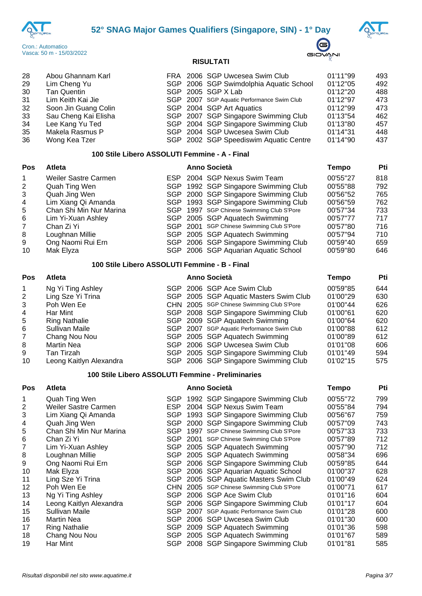





| -28 | Abou Ghannam Karl    |  | FRA 2006 SGP Uwcesea Swim Club             | 01'11"99 | 493 |
|-----|----------------------|--|--------------------------------------------|----------|-----|
| 29  | Lim Cheng Yu         |  | SGP 2006 SGP Swimdolphia Aquatic School    | 01'12"05 | 492 |
| 30  | <b>Tan Quentin</b>   |  | SGP 2005 SGP X Lab                         | 01'12"20 | 488 |
| -31 | Lim Keith Kai Jie    |  | SGP 2007 SGP Aquatic Performance Swim Club | 01'12"97 | 473 |
| 32  | Soon Jin Guang Colin |  | SGP 2004 SGP Art Aquatics                  | 01'12"99 | 473 |
| -33 | Sau Cheng Kai Elisha |  | SGP 2007 SGP Singapore Swimming Club       | 01'13"54 | 462 |
| 34  | Lee Kang Yu Ted      |  | SGP 2004 SGP Singapore Swimming Club       | 01'13"80 | 457 |
| 35  | Makela Rasmus P      |  | SGP 2004 SGP Uwcesea Swim Club             | 01'14"31 | 448 |
| 36  | Wong Kea Tzer        |  | SGP 2002 SGP Speediswim Aquatic Centre     | 01'14"90 | 437 |

# **100 Stile Libero ASSOLUTI Femmine - A - Final**

| <b>Pos</b> | <b>Atleta</b>           |  | <b>Anno Società</b>                       | Tempo    | Pti |
|------------|-------------------------|--|-------------------------------------------|----------|-----|
|            | Weiler Sastre Carmen    |  | ESP 2004 SGP Nexus Swim Team              | 00'55"27 | 818 |
| 2          | Quah Ting Wen           |  | SGP 1992 SGP Singapore Swimming Club      | 00'55"88 | 792 |
| 3          | Quah Jing Wen           |  | SGP 2000 SGP Singapore Swimming Club      | 00'56"52 | 765 |
| -4         | Lim Xiang Qi Amanda     |  | SGP 1993 SGP Singapore Swimming Club      | 00'56"59 | 762 |
| 5          | Chan Shi Min Nur Marina |  | SGP 1997 SGP Chinese Swimming Club S'Pore | 00'57"34 | 733 |
| 6          | Lim Yi-Xuan Ashley      |  | SGP 2005 SGP Aquatech Swimming            | 00'57"77 | 717 |
|            | Chan Zi Yi              |  | SGP 2001 SGP Chinese Swimming Club S'Pore | 00'57"80 | 716 |
| 8          | Loughnan Millie         |  | SGP 2005 SGP Aquatech Swimming            | 00'57"94 | 710 |
| 9          | Ong Naomi Rui Ern       |  | SGP 2006 SGP Singapore Swimming Club      | 00'59"40 | 659 |
| 10         | Mak Elyza               |  | SGP 2006 SGP Aquarian Aquatic School      | 00'59"80 | 646 |

### **100 Stile Libero ASSOLUTI Femmine - B - Final**

| Pos | <b>Atleta</b>           | <b>Anno Società</b> | Tempo                                      | Pti      |     |
|-----|-------------------------|---------------------|--------------------------------------------|----------|-----|
|     | Ng Yi Ting Ashley       |                     | SGP 2006 SGP Ace Swim Club                 | 00'59"85 | 644 |
| 2   | Ling Sze Yi Trina       |                     | SGP 2005 SGP Aquatic Masters Swim Club     | 01'00"29 | 630 |
| 3   | Poh Wen Ee              |                     | CHN 2005 SGP Chinese Swimming Club S'Pore  | 01'00"44 | 626 |
| 4   | Har Mint                |                     | SGP 2008 SGP Singapore Swimming Club       | 01'00"61 | 620 |
| 5   | <b>Ring Nathalie</b>    |                     | SGP 2009 SGP Aquatech Swimming             | 01'00"64 | 620 |
| 6   | Sullivan Maile          |                     | SGP 2007 SGP Aquatic Performance Swim Club | 01'00"88 | 612 |
| 7   | Chang Nou Nou           |                     | SGP 2005 SGP Aquatech Swimming             | 01'00"89 | 612 |
| 8   | <b>Martin Nea</b>       |                     | SGP 2006 SGP Uwcesea Swim Club             | 01'01"08 | 606 |
| 9   | Tan Tirzah              |                     | SGP 2005 SGP Singapore Swimming Club       | 01'01"49 | 594 |
| 10  | Leong Kaitlyn Alexandra |                     | SGP 2006 SGP Singapore Swimming Club       | 01'02"15 | 575 |

# **100 Stile Libero ASSOLUTI Femmine - Preliminaries**

| Pos            | <b>Atleta</b>               |            |      | Anno Società                          | Tempo    | Pti |
|----------------|-----------------------------|------------|------|---------------------------------------|----------|-----|
| 1              | Quah Ting Wen               |            |      | SGP 1992 SGP Singapore Swimming Club  | 00'55"72 | 799 |
| $\overline{2}$ | <b>Weiler Sastre Carmen</b> | ESP.       |      | 2004 SGP Nexus Swim Team              | 00'55"84 | 794 |
| 3              | Lim Xiang Qi Amanda         |            |      | SGP 1993 SGP Singapore Swimming Club  | 00'56"67 | 759 |
| 4              | Quah Jing Wen               | SGP.       |      | 2000 SGP Singapore Swimming Club      | 00'57"09 | 743 |
| 5              | Chan Shi Min Nur Marina     | SGP.       |      | 1997 SGP Chinese Swimming Club S'Pore | 00'57"33 | 733 |
| 6              | Chan Zi Yi                  | SGP        |      | 2001 SGP Chinese Swimming Club S'Pore | 00'57"89 | 712 |
|                | Lim Yi-Xuan Ashley          | SGP.       |      | 2005 SGP Aquatech Swimming            | 00'57"90 | 712 |
| 8              | Loughnan Millie             | SGP        |      | 2005 SGP Aquatech Swimming            | 00'58"34 | 696 |
| 9              | Ong Naomi Rui Ern           | SGP        |      | 2006 SGP Singapore Swimming Club      | 00'59"85 | 644 |
| 10             | Mak Elyza                   | SGP        |      | 2006 SGP Aquarian Aquatic School      | 01'00"37 | 628 |
| 11             | Ling Sze Yi Trina           | <b>SGP</b> |      | 2005 SGP Aquatic Masters Swim Club    | 01'00"49 | 624 |
| 12             | Poh Wen Ee                  | CHN.       |      | 2005 SGP Chinese Swimming Club S'Pore | 01'00"71 | 617 |
| 13             | Ng Yi Ting Ashley           | SGP.       |      | 2006 SGP Ace Swim Club                | 01'01"16 | 604 |
| 14             | Leong Kaitlyn Alexandra     | <b>SGP</b> |      | 2006 SGP Singapore Swimming Club      | 01'01"17 | 604 |
| 15             | Sullivan Maile              | <b>SGP</b> | 2007 | SGP Aquatic Performance Swim Club     | 01'01"28 | 600 |
| 16             | <b>Martin Nea</b>           | SGP        |      | 2006 SGP Uwcesea Swim Club            | 01'01"30 | 600 |
| 17             | <b>Ring Nathalie</b>        | SGP        |      | 2009 SGP Aquatech Swimming            | 01'01"36 | 598 |
| 18             | Chang Nou Nou               | <b>SGP</b> |      | 2005 SGP Aquatech Swimming            | 01'01"67 | 589 |
| 19             | Har Mint                    |            |      | SGP 2008 SGP Singapore Swimming Club  | 01'01"81 | 585 |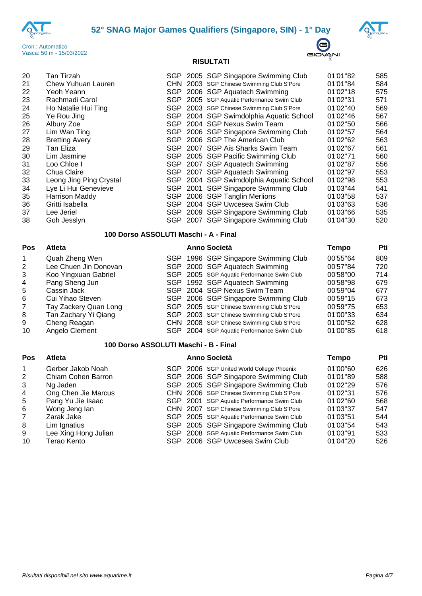





| 20 | Tan Tirzah              |     | SGP 2005 SGP Singapore Swimming Club       | 01'01"82 | 585 |
|----|-------------------------|-----|--------------------------------------------|----------|-----|
| 21 | Chew Yuhuan Lauren      |     | CHN 2003 SGP Chinese Swimming Club S'Pore  | 01'01"84 | 584 |
| 22 | Yeoh Yeann              |     | SGP 2006 SGP Aquatech Swimming             | 01'02"18 | 575 |
| 23 | Rachmadi Carol          |     | SGP 2005 SGP Aquatic Performance Swim Club | 01'02"31 | 571 |
| 24 | Ho Natalie Hui Ting     |     | SGP 2003 SGP Chinese Swimming Club S'Pore  | 01'02"40 | 569 |
| 25 | Ye Rou Jing             |     | SGP 2004 SGP Swimdolphia Aquatic School    | 01'02"46 | 567 |
| 26 | Albury Zoe              | SGP | 2004 SGP Nexus Swim Team                   | 01'02"50 | 566 |
| 27 | Lim Wan Ting            |     | SGP 2006 SGP Singapore Swimming Club       | 01'02"57 | 564 |
| 28 | <b>Bretting Avery</b>   | SGP | 2006 SGP The American Club                 | 01'02"62 | 563 |
| 29 | Tan Eliza               | SGP | 2007 SGP Ais Sharks Swim Team              | 01'02"67 | 561 |
| 30 | Lim Jasmine             |     | SGP 2005 SGP Pacific Swimming Club         | 01'02"71 | 560 |
| 31 | Loo Chloe I             |     | SGP 2007 SGP Aquatech Swimming             | 01'02"87 | 556 |
| 32 | Chua Claire             |     | SGP 2007 SGP Aquatech Swimming             | 01'02"97 | 553 |
| 33 | Leong Jing Ping Crystal |     | SGP 2004 SGP Swimdolphia Aquatic School    | 01'02"98 | 553 |
| 34 | Lye Li Hui Genevieve    |     | SGP 2001 SGP Singapore Swimming Club       | 01'03"44 | 541 |
| 35 | <b>Harrison Maddy</b>   |     | SGP 2006 SGP Tanglin Merlions              | 01'03"58 | 537 |
| 36 | Gritti Isabella         |     | SGP 2004 SGP Uwcesea Swim Club             | 01'03"63 | 536 |
| 37 | Lee Jeriel              |     | SGP 2009 SGP Singapore Swimming Club       | 01'03"66 | 535 |
| 38 | Goh Jesslyn             |     | SGP 2007 SGP Singapore Swimming Club       | 01'04"30 | 520 |
|    |                         |     |                                            |          |     |

#### **100 Dorso ASSOLUTI Maschi - A - Final**

# **Pos Atleta Anno Società Tempo Pti**

 Quah Zheng Wen SGP 1996 SGP Singapore Swimming Club 00'55''64 809 Lee Chuen Jin Donovan SGP 2000 SGP Aquatech Swimming 00'57''84 720 Koo Yingxuan Gabriel SGP 2005 SGP Aquatic Performance Swim Club 00'58''00 714 4 Pang Sheng Jun SGP 1992 SGP Aquatech Swimming 00'58"98<br>5 Cassin Jack 679 SGP 2004 SGP Nexus Swim Team 00'59"04 5 Cassin Jack Cassin Jack Connect Community SGP 2004 SGP Nexus Swim Team Community 00'59"04 677<br>5 Cui Yihao Steven Community SGP 2006 SGP Singapore Swimming Club 00'59"15 673 Cui Yihao Steven SGP 2006 SGP Singapore Swimming Club 00'59''15 673 7 Tay Zackery Quan Long SGP 2005 SGP Chinese Swimming Club S'Pore 00'59"75 653<br>8 Tan Zachary Yi Qiang SGP 2003 SGP Chinese Swimming Club S'Pore 01'00"33 634 8 Tan Zachary Yi Qiang SGP 2003 SGP Chinese Swimming Club S'Pore 01'00"33<br>9 Cheng Reagan CHN 2008 SGP Chinese Swimming Club S'Pore 01'00"52 CHN 2008 SGP Chinese Swimming Club S'Pore 01'00"52 628<br>
SGP 2004 SGP Aquatic Performance Swim Club 01'00"85 618 10 Angelo Clement SGP 2004 SGP Aquatic Performance Swim Club 01'00"85 618

### **100 Dorso ASSOLUTI Maschi - B - Final**

#### **Pos Atleta Anno Società Tempo Pti**

| 01'00"60 | 626 |
|----------|-----|
| 01'01"89 | 588 |
| 01'02"29 | 576 |
| 01'02"31 | 576 |
| 01'02"60 | 568 |
| 01'03"37 | 547 |
| 01'03"51 | 544 |
| 01'03"54 | 543 |
| 01'03"91 | 533 |
| 01'04"20 | 526 |
|          |     |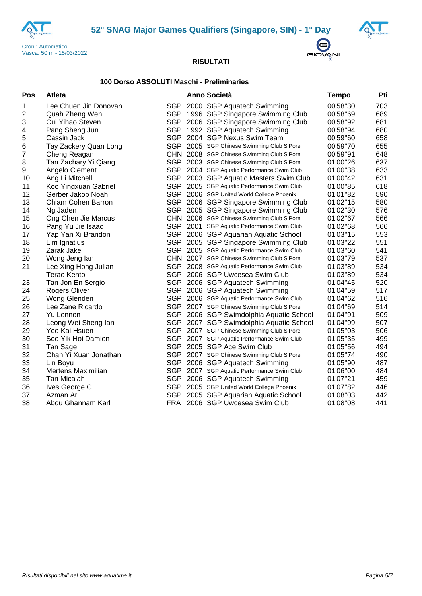





# **100 Dorso ASSOLUTI Maschi - Preliminaries**

| Pos                     | Atleta                |            | <b>Anno Società</b>                        | Tempo    | Pti |
|-------------------------|-----------------------|------------|--------------------------------------------|----------|-----|
| 1                       | Lee Chuen Jin Donovan | <b>SGP</b> | 2000 SGP Aquatech Swimming                 | 00'58"30 | 703 |
| $\overline{\mathbf{c}}$ | Quah Zheng Wen        | <b>SGP</b> | 1996 SGP Singapore Swimming Club           | 00'58"69 | 689 |
| 3                       | Cui Yihao Steven      | SGP        | 2006 SGP Singapore Swimming Club           | 00'58"92 | 681 |
| 4                       | Pang Sheng Jun        | <b>SGP</b> | 1992 SGP Aquatech Swimming                 | 00'58"94 | 680 |
| 5                       | Cassin Jack           | <b>SGP</b> | 2004 SGP Nexus Swim Team                   | 00'59"60 | 658 |
| 6                       | Tay Zackery Quan Long |            | SGP 2005 SGP Chinese Swimming Club S'Pore  | 00'59"70 | 655 |
| $\boldsymbol{7}$        | Cheng Reagan          |            | CHN 2008 SGP Chinese Swimming Club S'Pore  | 00'59"91 | 648 |
| $\,8\,$                 | Tan Zachary Yi Qiang  |            | SGP 2003 SGP Chinese Swimming Club S'Pore  | 01'00"26 | 637 |
| $\boldsymbol{9}$        | Angelo Clement        | <b>SGP</b> | 2004 SGP Aquatic Performance Swim Club     | 01'00"38 | 633 |
| 10                      | Ang Li Mitchell       | <b>SGP</b> | 2003 SGP Aquatic Masters Swim Club         | 01'00"42 | 631 |
| 11                      | Koo Yingxuan Gabriel  |            | SGP 2005 SGP Aquatic Performance Swim Club | 01'00"85 | 618 |
| 12                      | Gerber Jakob Noah     |            | SGP 2006 SGP United World College Phoenix  | 01'01"82 | 590 |
| 13                      | Chiam Cohen Barron    |            | SGP 2006 SGP Singapore Swimming Club       | 01'02"15 | 580 |
| 14                      | Ng Jaden              | <b>SGP</b> | 2005 SGP Singapore Swimming Club           | 01'02"30 | 576 |
| 15                      | Ong Chen Jie Marcus   |            | CHN 2006 SGP Chinese Swimming Club S'Pore  | 01'02"67 | 566 |
| 16                      | Pang Yu Jie Isaac     |            | SGP 2001 SGP Aquatic Performance Swim Club | 01'02"68 | 566 |
| 17                      | Yap Yan Xi Brandon    |            | SGP 2006 SGP Aquarian Aquatic School       | 01'03"15 | 553 |
| 18                      | Lim Ignatius          | <b>SGP</b> | 2005 SGP Singapore Swimming Club           | 01'03"22 | 551 |
| 19                      | Zarak Jake            |            | SGP 2005 SGP Aquatic Performance Swim Club | 01'03"60 | 541 |
| 20                      | Wong Jeng lan         |            | CHN 2007 SGP Chinese Swimming Club S'Pore  | 01'03"79 | 537 |
| 21                      | Lee Xing Hong Julian  |            | SGP 2008 SGP Aquatic Performance Swim Club | 01'03"89 | 534 |
|                         | <b>Terao Kento</b>    | SGP        | 2006 SGP Uwcesea Swim Club                 | 01'03"89 | 534 |
| 23                      | Tan Jon En Sergio     | SGP        | 2006 SGP Aquatech Swimming                 | 01'04"45 | 520 |
| 24                      | Rogers Oliver         |            | SGP 2006 SGP Aquatech Swimming             | 01'04"59 | 517 |
| 25                      | Wong Glenden          |            | SGP 2006 SGP Aquatic Performance Swim Club | 01'04"62 | 516 |
| 26                      | Lee Zane Ricardo      |            | SGP 2007 SGP Chinese Swimming Club S'Pore  | 01'04"69 | 514 |
| 27                      | Yu Lennon             | <b>SGP</b> | 2006 SGP Swimdolphia Aquatic School        | 01'04"91 | 509 |
| 28                      | Leong Wei Sheng lan   | <b>SGP</b> | 2007 SGP Swimdolphia Aquatic School        | 01'04"99 | 507 |
| 29                      | Yeo Kai Hsuen         |            | SGP 2007 SGP Chinese Swimming Club S'Pore  | 01'05"03 | 506 |
| 30                      | Soo Yik Hoi Damien    |            | SGP 2007 SGP Aquatic Performance Swim Club | 01'05"35 | 499 |
| 31                      | Tan Sage              | SGP        | 2005 SGP Ace Swim Club                     | 01'05"56 | 494 |
| 32                      | Chan Yi Xuan Jonathan | <b>SGP</b> | 2007 SGP Chinese Swimming Club S'Pore      | 01'05"74 | 490 |
| 33                      | Lin Boyu              | <b>SGP</b> | 2006 SGP Aquatech Swimming                 | 01'05"90 | 487 |
| 34                      | Mertens Maximilian    |            | SGP 2007 SGP Aquatic Performance Swim Club | 01'06"00 | 484 |
| 35                      | Tan Micaiah           | SGP        | 2006 SGP Aquatech Swimming                 | 01'07"21 | 459 |
| 36                      | Ives George C         | <b>SGP</b> | 2005 SGP United World College Phoenix      | 01'07"82 | 446 |
| 37                      | Azman Ari             | <b>SGP</b> | 2005 SGP Aquarian Aquatic School           | 01'08"03 | 442 |
| 38                      | Abou Ghannam Karl     |            | FRA 2006 SGP Uwcesea Swim Club             | 01'08"08 | 441 |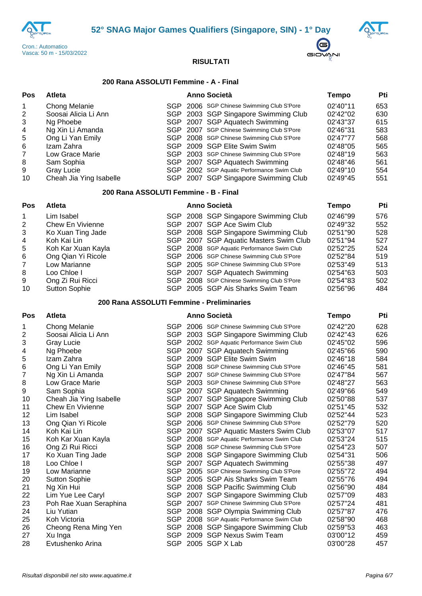



 $\bigoplus$ GIOVANI



# **200 Rana ASSOLUTI Femmine - A - Final**

| Pos                            | Atleta                                                                                                   |            | <b>Anno Società</b>                                                                                                                                                                                                                       | <b>Tempo</b>                                                         | Pti                                    |
|--------------------------------|----------------------------------------------------------------------------------------------------------|------------|-------------------------------------------------------------------------------------------------------------------------------------------------------------------------------------------------------------------------------------------|----------------------------------------------------------------------|----------------------------------------|
| 1<br>2<br>3<br>4<br>5<br>$\,6$ | Chong Melanie<br>Soosai Alicia Li Ann<br>Ng Phoebe<br>Ng Xin Li Amanda<br>Ong Li Yan Emily<br>Izam Zahra | <b>SGP</b> | SGP 2006 SGP Chinese Swimming Club S'Pore<br>SGP 2003 SGP Singapore Swimming Club<br>SGP 2007 SGP Aquatech Swimming<br>2007 SGP Chinese Swimming Club S'Pore<br>SGP 2008 SGP Chinese Swimming Club S'Pore<br>SGP 2009 SGP Elite Swim Swim | 02'40"11<br>02'42"02<br>02'43"37<br>02'46"31<br>02'47"77<br>02'48"05 | 653<br>630<br>615<br>583<br>568<br>565 |
| 7                              | Low Grace Marie                                                                                          |            | SGP 2003 SGP Chinese Swimming Club S'Pore                                                                                                                                                                                                 | 02'48"19                                                             | 563                                    |
| 8                              | Sam Sophia                                                                                               |            | SGP 2007 SGP Aquatech Swimming                                                                                                                                                                                                            | 02'48"46                                                             | 561                                    |
| 9                              | <b>Gray Lucie</b>                                                                                        |            | SGP 2002 SGP Aquatic Performance Swim Club                                                                                                                                                                                                | 02'49"10                                                             | 554                                    |
| 10                             | Cheah Jia Ying Isabelle                                                                                  |            | SGP 2007 SGP Singapore Swimming Club                                                                                                                                                                                                      | 02'49"45                                                             | 551                                    |
|                                | 200 Rana ASSOLUTI Femmine - B - Final                                                                    |            |                                                                                                                                                                                                                                           |                                                                      |                                        |
| Pos                            | Atleta                                                                                                   |            | <b>Anno Società</b>                                                                                                                                                                                                                       | <b>Tempo</b>                                                         | Pti                                    |
| 1                              | Lim Isabel                                                                                               |            | SGP 2008 SGP Singapore Swimming Club                                                                                                                                                                                                      | 02'46"99                                                             | 576                                    |
| 2                              | Chew En Vivienne                                                                                         |            | SGP 2007 SGP Ace Swim Club                                                                                                                                                                                                                | 02'49"32                                                             | 552                                    |
| 3                              | Ko Xuan Ting Jade                                                                                        |            | SGP 2008 SGP Singapore Swimming Club                                                                                                                                                                                                      | 02'51"90                                                             | 528                                    |
| 4                              | Koh Kai Lin                                                                                              |            | SGP 2007 SGP Aquatic Masters Swim Club                                                                                                                                                                                                    | 02'51"94                                                             | 527                                    |
| 5                              | Koh Kar Xuan Kayla                                                                                       |            | SGP 2008 SGP Aquatic Performance Swim Club                                                                                                                                                                                                | 02'52"25                                                             | 524                                    |
| $\,6$                          | Ong Qian Yi Ricole                                                                                       |            | SGP 2006 SGP Chinese Swimming Club S'Pore                                                                                                                                                                                                 | 02'52"84                                                             | 519                                    |
| 7                              | Low Marianne                                                                                             |            | SGP 2005 SGP Chinese Swimming Club S'Pore                                                                                                                                                                                                 | 02'53"49                                                             | 513                                    |
| 8                              | Loo Chloe I                                                                                              |            | SGP 2007 SGP Aquatech Swimming                                                                                                                                                                                                            | 02'54"63                                                             | 503                                    |
| 9                              | Ong Zi Rui Ricci                                                                                         |            | SGP 2008 SGP Chinese Swimming Club S'Pore                                                                                                                                                                                                 | 02'54"83                                                             | 502                                    |
| 10                             | <b>Sutton Sophie</b>                                                                                     |            | SGP 2005 SGP Ais Sharks Swim Team                                                                                                                                                                                                         | 02'56"96                                                             | 484                                    |
|                                | 200 Rana ASSOLUTI Femmine - Preliminaries                                                                |            |                                                                                                                                                                                                                                           |                                                                      |                                        |
| Pos                            | Atleta                                                                                                   |            | <b>Anno Società</b>                                                                                                                                                                                                                       | <b>Tempo</b>                                                         | Pti                                    |
| 1                              | Chong Melanie                                                                                            |            | SGP 2006 SGP Chinese Swimming Club S'Pore                                                                                                                                                                                                 | 02'42"20                                                             | 628                                    |
| 2                              | Soosai Alicia Li Ann                                                                                     |            | SGP 2003 SGP Singapore Swimming Club                                                                                                                                                                                                      | 02'42"43                                                             | 626                                    |
| 3                              | <b>Gray Lucie</b>                                                                                        |            | SGP 2002 SGP Aquatic Performance Swim Club                                                                                                                                                                                                | 02'45"02                                                             | 596                                    |
| 4                              | Ng Phoebe                                                                                                |            | SGP 2007 SGP Aquatech Swimming                                                                                                                                                                                                            | 02'45"66                                                             | 590                                    |
| 5                              | Izam Zahra                                                                                               |            | SGP 2009 SGP Elite Swim Swim                                                                                                                                                                                                              | 02'46"18                                                             | 584                                    |
| $\,6$                          | Ong Li Yan Emily                                                                                         |            | SGP 2008 SGP Chinese Swimming Club S'Pore                                                                                                                                                                                                 | 02'46"45                                                             | 581                                    |
| 7                              | Ng Xin Li Amanda                                                                                         |            | SGP 2007 SGP Chinese Swimming Club S'Pore                                                                                                                                                                                                 | 02'47"84                                                             | 567                                    |
| 8                              | Low Grace Marie                                                                                          |            | SGP 2003 SGP Chinese Swimming Club S'Pore                                                                                                                                                                                                 | 02'48"27                                                             | 563                                    |
| 9                              | Sam Sophia                                                                                               |            | SGP 2007 SGP Aquatech Swimming                                                                                                                                                                                                            | 02'49"66                                                             | 549                                    |
| 10                             | Cheah Jia Ying Isabelle                                                                                  |            | SGP 2007 SGP Singapore Swimming Club                                                                                                                                                                                                      | 02'50"88                                                             | 537                                    |
| 11                             | Chew En Vivienne                                                                                         |            | SGP 2007 SGP Ace Swim Club                                                                                                                                                                                                                | 02'51"45                                                             | 532                                    |
| 12                             | Lim Isabel                                                                                               |            | SGP 2008 SGP Singapore Swimming Club                                                                                                                                                                                                      | 02'52"44                                                             | 523                                    |
| 13                             | Ong Qian Yi Ricole                                                                                       |            | SGP 2006 SGP Chinese Swimming Club S'Pore                                                                                                                                                                                                 | 02'52"79                                                             | 520                                    |
| 14                             | Koh Kai Lin                                                                                              |            | SGP 2007 SGP Aquatic Masters Swim Club                                                                                                                                                                                                    | 02'53"07                                                             | 517                                    |
| 15                             | Koh Kar Xuan Kayla                                                                                       |            | SGP 2008 SGP Aquatic Performance Swim Club                                                                                                                                                                                                | 02'53"24                                                             | 515                                    |
| 16                             | Ong Zi Rui Ricci                                                                                         |            | SGP 2008 SGP Chinese Swimming Club S'Pore                                                                                                                                                                                                 | 02'54"23                                                             | 507                                    |
| 17                             | Ko Xuan Ting Jade                                                                                        |            | SGP 2008 SGP Singapore Swimming Club                                                                                                                                                                                                      | 02'54"31                                                             | 506                                    |
| 18                             | Loo Chloe I                                                                                              |            | SGP 2007 SGP Aquatech Swimming                                                                                                                                                                                                            | 02'55"38                                                             | 497                                    |
| 19                             | Low Marianne                                                                                             |            | SGP 2005 SGP Chinese Swimming Club S'Pore                                                                                                                                                                                                 | 02'55"72                                                             | 494                                    |
| 20                             | <b>Sutton Sophie</b>                                                                                     |            | SGP 2005 SGP Ais Sharks Swim Team                                                                                                                                                                                                         | 02'55"76                                                             | 494                                    |
| 21                             | Ng Xin Hui                                                                                               |            | SGP 2008 SGP Pacific Swimming Club                                                                                                                                                                                                        | 02'56"90                                                             | 484                                    |
| 22                             | Lim Yue Lee Caryl                                                                                        |            | SGP 2007 SGP Singapore Swimming Club                                                                                                                                                                                                      | 02'57"09                                                             | 483                                    |
| 23                             | Poh Rae Xuan Seraphina                                                                                   |            | SGP 2007 SGP Chinese Swimming Club S'Pore                                                                                                                                                                                                 | 02'57"24                                                             | 481                                    |
| 24                             | Liu Yutian                                                                                               |            | SGP 2008 SGP Olympia Swimming Club                                                                                                                                                                                                        | 02'57"87                                                             | 476                                    |
| 25                             | Koh Victoria                                                                                             |            | SGP 2008 SGP Aquatic Performance Swim Club                                                                                                                                                                                                | 02'58"90                                                             | 468                                    |
| 26                             | Cheong Rena Ming Yen                                                                                     |            | SGP 2008 SGP Singapore Swimming Club                                                                                                                                                                                                      | 02'59"53                                                             | 463                                    |
| 27                             | Xu Inga                                                                                                  |            | SGP 2009 SGP Nexus Swim Team                                                                                                                                                                                                              | 03'00"12                                                             | 459                                    |
| 28                             | Evtushenko Arina                                                                                         |            | SGP 2005 SGP X Lab                                                                                                                                                                                                                        | 03'00"28                                                             | 457                                    |